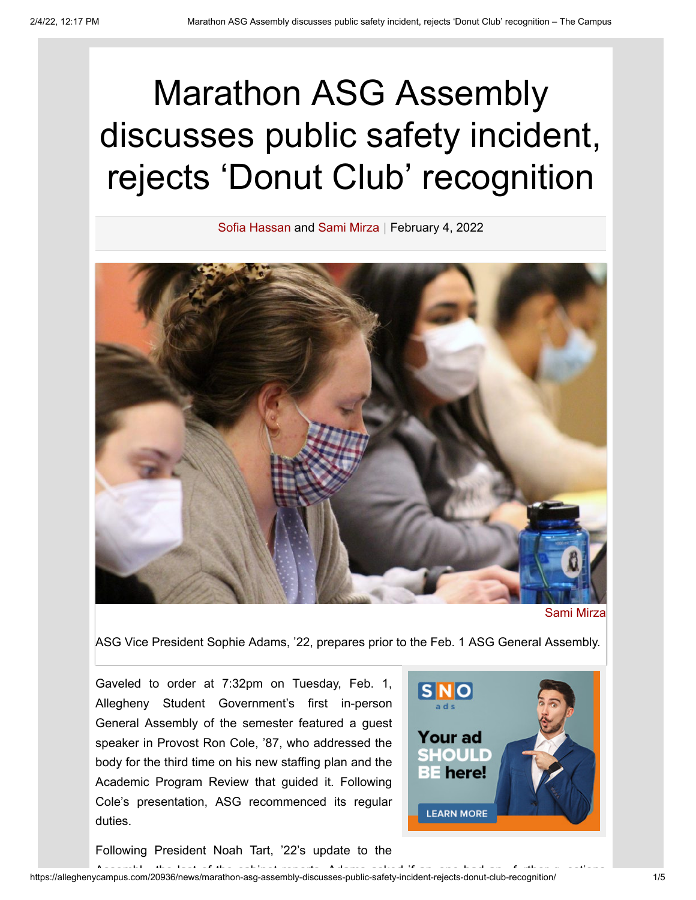## Marathon ASG Assembly discusses public safety incident, rejects 'Donut Club' recognition

Sofia [Hassan](https://alleghenycampus.com/staff_name/sofia-hassan/) and [Sami Mirza](https://alleghenycampus.com/staff_name/sami-mirza/) | February 4, 2022



[Sami Mirza](https://alleghenycampus.com/staff_name/sami-mirza/)

ASG Vice President Sophie Adams, '22, prepares prior to the Feb. 1 ASG General Assembly.

Gaveled to order at 7:32pm on Tuesday, Feb. 1, Allegheny Student Government's first in-person General Assembly of the semester featured a guest speaker in Provost Ron Cole, '87, who addressed the body for the third time on his new staffing plan and the Academic Program Review that guided it. Following Cole's presentation, ASG recommenced its regular duties.



Following President Noah Tart, '22's update to the

المستخدم المستخدم المستخدم المستخدم المستخدم المستخدم المستخدم المستخدم المستخدم المستخدم المستخدم المستخدم ال<br>1/5 Assembly-discusses-public-safety-incident-rejects-donut-club-recognition/ 1/5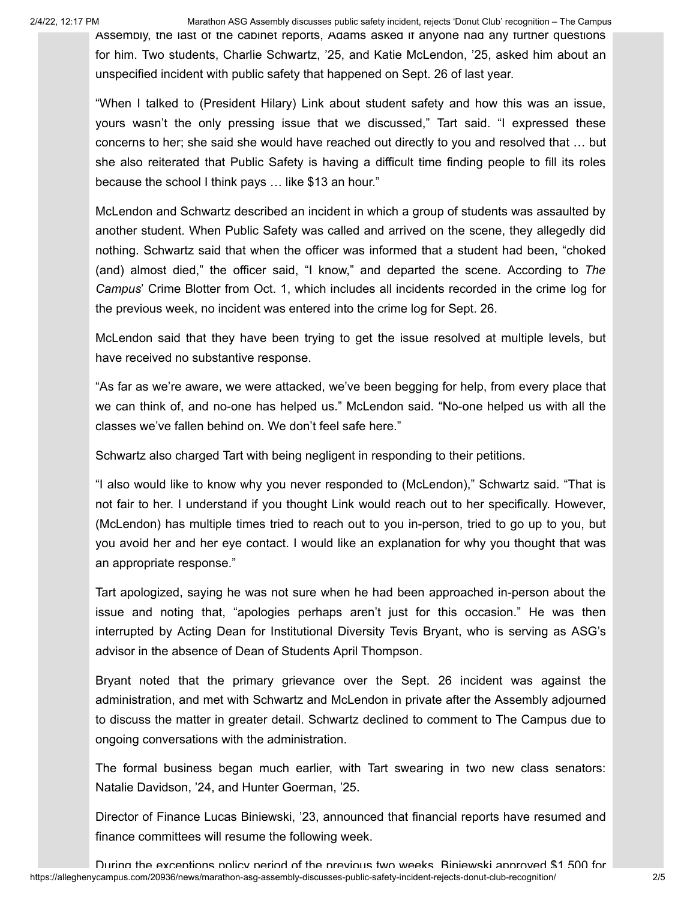2/4/22, 12:17 PM Marathon ASG Assembly discusses public safety incident, rejects 'Donut Club' recognition – The Campus

Assembly, the last of the cabinet reports, Adams asked if anyone had any further questions for him. Two students, Charlie Schwartz, '25, and Katie McLendon, '25, asked him about an unspecified incident with public safety that happened on Sept. 26 of last year.

"When I talked to (President Hilary) Link about student safety and how this was an issue, yours wasn't the only pressing issue that we discussed," Tart said. "I expressed these concerns to her; she said she would have reached out directly to you and resolved that … but she also reiterated that Public Safety is having a difficult time finding people to fill its roles because the school I think pays … like \$13 an hour."

McLendon and Schwartz described an incident in which a group of students was assaulted by another student. When Public Safety was called and arrived on the scene, they allegedly did nothing. Schwartz said that when the officer was informed that a student had been, "choked (and) almost died," the officer said, "I know," and departed the scene. According to *The Campus*' Crime Blotter from Oct. 1, which includes [all incidents](https://dspace.allegheny.edu/bitstream/handle/10456/54459/The_Campus_Oct_01_2021_Vol_146_Num_6%20.pdf?sequence=1&isAllowed=y) recorded in the [crime](https://sites.allegheny.edu/publicsafety/crime-log/) log for the previous week, no incident was entered into the crime log for Sept. 26.

McLendon said that they have been trying to get the issue resolved at multiple levels, but have received no substantive response.

"As far as we're aware, we were attacked, we've been begging for help, from every place that we can think of, and no-one has helped us." McLendon said. "No-one helped us with all the classes we've fallen behind on. We don't feel safe here."

Schwartz also charged Tart with being negligent in responding to their petitions.

"I also would like to know why you never responded to (McLendon)," Schwartz said. "That is not fair to her. I understand if you thought Link would reach out to her specifically. However, (McLendon) has multiple times tried to reach out to you in-person, tried to go up to you, but you avoid her and her eye contact. I would like an explanation for why you thought that was an appropriate response."

Tart apologized, saying he was not sure when he had been approached in-person about the issue and noting that, "apologies perhaps aren't just for this occasion." He was then interrupted by Acting Dean for Institutional Diversity Tevis Bryant, who is serving as ASG's advisor in the absence of Dean of Students April Thompson.

Bryant noted that the primary grievance over the Sept. 26 incident was against the administration, and met with Schwartz and McLendon in private after the Assembly adjourned to discuss the matter in greater detail. Schwartz declined to comment to The Campus due to ongoing conversations with the administration.

The formal business began much earlier, with Tart swearing in two new class senators: Natalie Davidson, '24, and Hunter Goerman, '25.

Director of Finance Lucas Biniewski, '23, announced that financial reports have resumed and finance committees will resume the following week.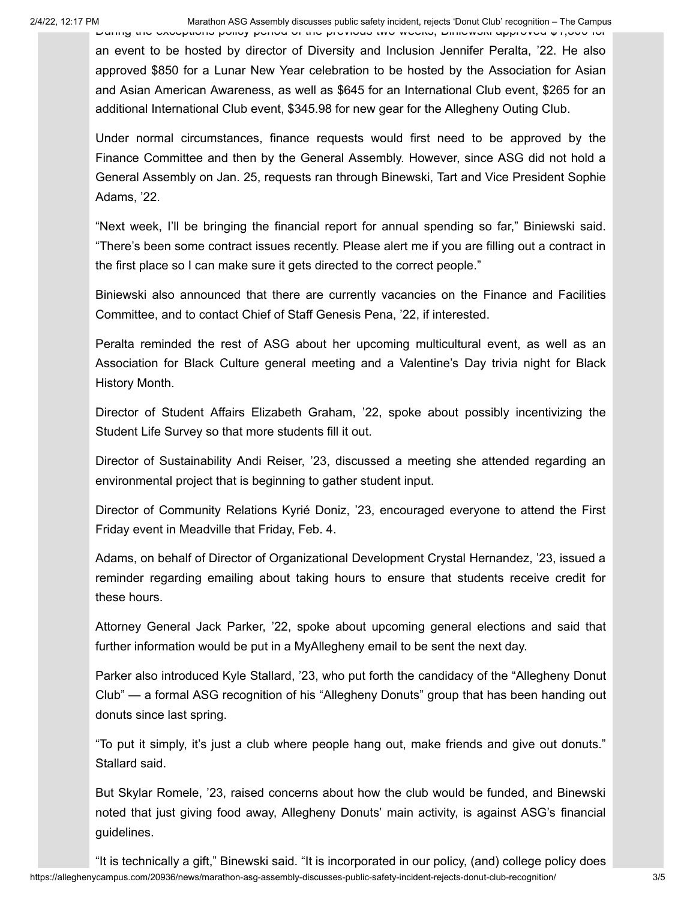During the exceptions policy period of the previous two weeks, Biniewski approved \$1,500 for an event to be hosted by director of Diversity and Inclusion Jennifer Peralta, '22. He also approved \$850 for a Lunar New Year celebration to be hosted by the Association for Asian and Asian American Awareness, as well as \$645 for an International Club event, \$265 for an additional International Club event, \$345.98 for new gear for the Allegheny Outing Club.

Under normal circumstances, finance requests would first need to be approved by the Finance Committee and then by the General Assembly. However, since ASG did not hold a General Assembly on Jan. 25, requests ran through Binewski, Tart and Vice President Sophie Adams, '22.

"Next week, I'll be bringing the financial report for annual spending so far," Biniewski said. "There's been some contract issues recently. Please alert me if you are filling out a contract in the first place so I can make sure it gets directed to the correct people."

Biniewski also announced that there are currently vacancies on the Finance and Facilities Committee, and to contact Chief of Staff Genesis Pena, '22, if interested.

Peralta reminded the rest of ASG about her upcoming multicultural event, as well as an Association for Black Culture general meeting and a Valentine's Day trivia night for Black History Month.

Director of Student Affairs Elizabeth Graham, '22, spoke about possibly incentivizing the Student Life Survey so that more students fill it out.

Director of Sustainability Andi Reiser, '23, discussed a meeting she attended regarding an environmental project that is beginning to gather student input.

Director of Community Relations Kyrié Doniz, '23, encouraged everyone to attend the First Friday event in Meadville that Friday, Feb. 4.

Adams, on behalf of Director of Organizational Development Crystal Hernandez, '23, issued a reminder regarding emailing about taking hours to ensure that students receive credit for these hours.

Attorney General Jack Parker, '22, spoke about upcoming general elections and said that further information would be put in a MyAllegheny email to be sent the next day.

Parker also introduced Kyle Stallard, '23, who put forth the candidacy of the "Allegheny Donut Club" — a formal ASG recognition of his "[Allegheny](https://alleghenycampus.com/20608/features/bringing-donuts-and-smiles/) Donuts" group that has been handing out donuts since last spring.

"To put it simply, it's just a club where people hang out, make friends and give out donuts." Stallard said.

But Skylar Romele, '23, raised concerns about how the club would be funded, and Binewski noted that just giving food away, Allegheny [Donuts' main](https://www.alleghenystudentgovernment.org/_files/ugd/f74ec7_ff5e79b6788548c8ad4733225edfe60e.pdf) activity, is against ASG's financial guidelines.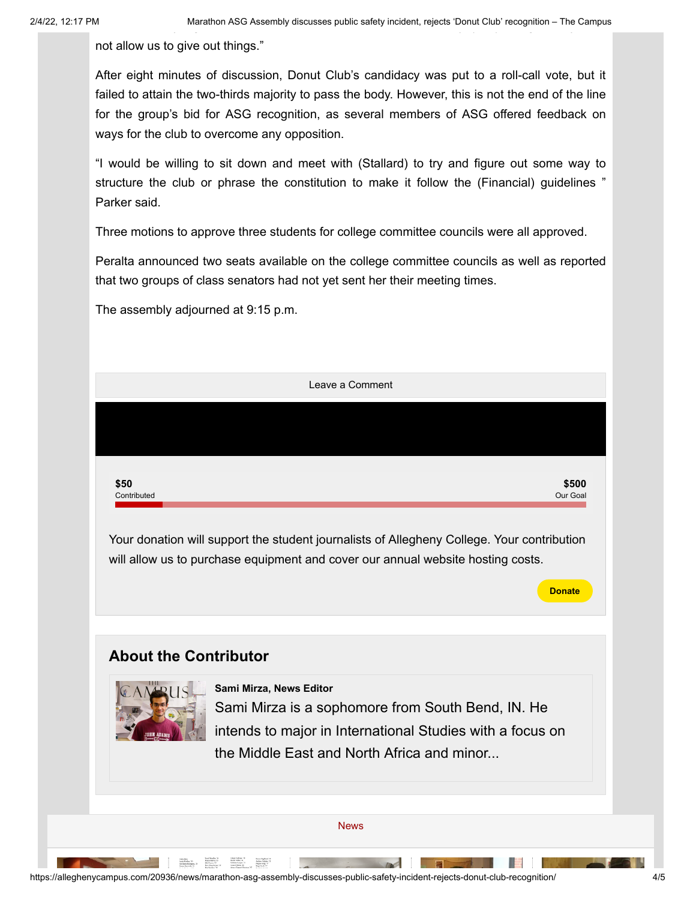not allow us to give out things."

After eight minutes of discussion, Donut Club's candidacy was put to a roll-call vote, but it failed to attain the two-thirds majority to pass the body. However, this is not the end of the line for the group's bid for ASG recognition, as several members of ASG offered feedback on ways for the club to overcome any opposition.

"I would be willing to sit down and meet with (Stallard) to try and figure out some way to structure the club or phrase the constitution to make it follow the (Financial) guidelines " Parker said.

Three motions to approve three students for college committee councils were all approved.

Peralta announced two seats available on the college committee councils as well as reported that two groups of class senators had not yet sent her their meeting times.

The assembly adjourned at 9:15 p.m.

|                              | Leave a Comment                                                                                                                           |               |
|------------------------------|-------------------------------------------------------------------------------------------------------------------------------------------|---------------|
|                              |                                                                                                                                           |               |
|                              |                                                                                                                                           |               |
| \$50                         |                                                                                                                                           | \$500         |
| Contributed                  |                                                                                                                                           | Our Goal      |
|                              | will allow us to purchase equipment and cover our annual website hosting costs.                                                           | <b>Donate</b> |
|                              |                                                                                                                                           |               |
| <b>About the Contributor</b> |                                                                                                                                           |               |
|                              | Sami Mirza, News Editor<br>Sami Mirza is a sophomore from South Bend, IN. He<br>intends to major in International Studies with a focus on |               |
|                              |                                                                                                                                           |               |
|                              | the Middle East and North Africa and minor                                                                                                |               |
|                              |                                                                                                                                           |               |
|                              |                                                                                                                                           |               |
|                              | <b>News</b>                                                                                                                               |               |